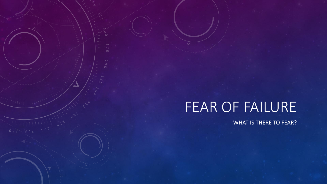# FEAR OF FAILURE

 $\overline{\circ}$ 

 $1.1111102022$ 

WHAT IS THERE TO FEAR?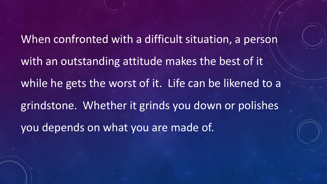When confronted with a difficult situation, a person with an outstanding attitude makes the best of it while he gets the worst of it. Life can be likened to a grindstone. Whether it grinds you down or polishes you depends on what you are made of.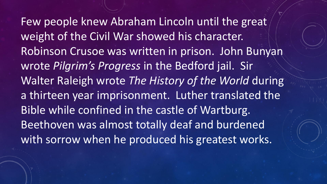Few people knew Abraham Lincoln until the great weight of the Civil War showed his character. Robinson Crusoe was written in prison. John Bunyan wrote *Pilgrim's Progress* in the Bedford jail. Sir Walter Raleigh wrote *The History of the World* during a thirteen year imprisonment. Luther translated the Bible while confined in the castle of Wartburg. Beethoven was almost totally deaf and burdened with sorrow when he produced his greatest works.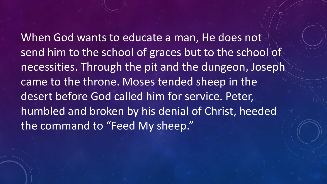When God wants to educate a man, He does not send him to the school of graces but to the school of necessities. Through the pit and the dungeon, Joseph came to the throne. Moses tended sheep in the desert before God called him for service. Peter, humbled and broken by his denial of Christ, heeded the command to "Feed My sheep."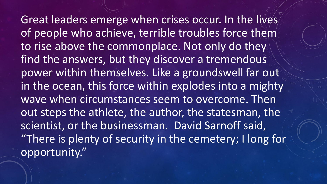Great leaders emerge when crises occur. In the lives of people who achieve, terrible troubles force them to rise above the commonplace. Not only do they find the answers, but they discover a tremendous power within themselves. Like a groundswell far out in the ocean, this force within explodes into a mighty wave when circumstances seem to overcome. Then out steps the athlete, the author, the statesman, the scientist, or the businessman. David Sarnoff said, "There is plenty of security in the cemetery; I long for opportunity."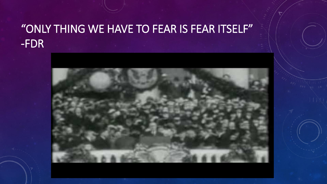# "ONLY THING WE HAVE TO FEAR IS FEAR ITSELF" -FDR

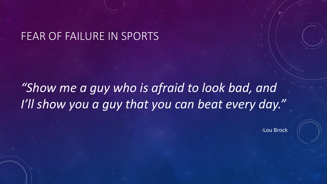#### FEAR OF FAILURE IN SPORTS

# *"Show me a guy who is afraid to look bad, and I'll show you a guy that you can beat every day."*

-Lou Brock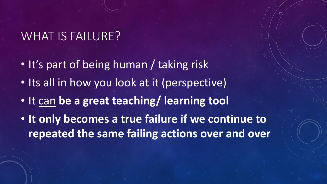# WHAT IS FAILURE?

- It's part of being human / taking risk
- Its all in how you look at it (perspective)
- It can **be a great teaching/ learning tool**
- **It only becomes a true failure if we continue to repeated the same failing actions over and over**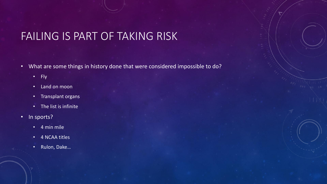## FAILING IS PART OF TAKING RISK

- What are some things in history done that were considered impossible to do?
	- Fly
	- Land on moon
	- Transplant organs
	- The list is infinite
- In sports?
	- 4 min mile
	- 4 NCAA titles
	- Rulon, Dake…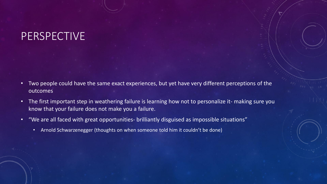#### PERSPECTIVE

- Two people could have the same exact experiences, but yet have very different perceptions of the outcomes
- The first important step in weathering failure is learning how not to personalize it- making sure you know that your failure does not make you a failure.
- "We are all faced with great opportunities- brilliantly disguised as impossible situations"
	- Arnold Schwarzenegger (thoughts on when someone told him it couldn't be done)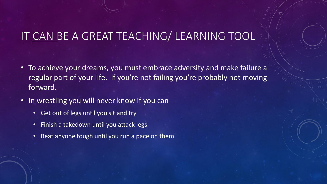## IT CAN BE A GREAT TEACHING/ LEARNING TOOL

- To achieve your dreams, you must embrace adversity and make failure a regular part of your life. If you're not failing you're probably not moving forward.
- In wrestling you will never know if you can
	- Get out of legs until you sit and try
	- Finish a takedown until you attack legs
	- Beat anyone tough until you run a pace on them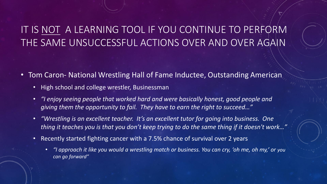#### IT IS NOT A LEARNING TOOL IF YOU CONTINUE TO PERFORM THE SAME UNSUCCESSFUL ACTIONS OVER AND OVER AGAIN

- Tom Caron- National Wrestling Hall of Fame Inductee, Outstanding American
	- High school and college wrestler, Businessman
	- *"I enjoy seeing people that worked hard and were basically honest, good people and giving them the opportunity to fail. They have to earn the right to succeed…"*
	- *"Wrestling is an excellent teacher. It's an excellent tutor for going into business. One thing it teaches you is that you don't keep trying to do the same thing if it doesn't work…"*
	- Recently started fighting cancer with a 7.5% chance of survival over 2 years
		- *"I approach it like you would a wrestling match or business. You can cry, 'oh me, oh my,' or you can go forward"*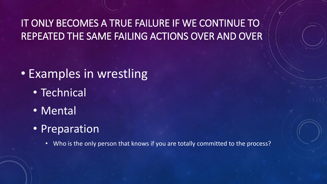IT ONLY BECOMES A TRUE FAILURE IF WE CONTINUE TO REPEATED THE SAME FAILING ACTIONS OVER AND OVER

# • Examples in wrestling

- Technical
- Mental
- Preparation
	- Who is the only person that knows if you are totally committed to the process?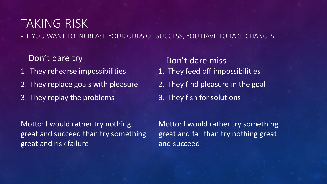# TAKING RISK

- IF YOU WANT TO INCREASE YOUR ODDS OF SUCCESS, YOU HAVE TO TAKE CHANCES.

Don't dare try

- 1. They rehearse impossibilities
- 2. They replace goals with pleasure
- 3. They replay the problems

Don't dare miss 1. They feed off impossibilities 2. They find pleasure in the goal 3. They fish for solutions

Motto: I would rather try nothing great and succeed than try something great and risk failure

Motto: I would rather try something great and fail than try nothing great and succeed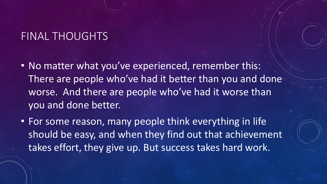#### FINAL THOUGHTS

- No matter what you've experienced, remember this: There are people who've had it better than you and done worse. And there are people who've had it worse than you and done better.
- For some reason, many people think everything in life should be easy, and when they find out that achievement takes effort, they give up. But success takes hard work.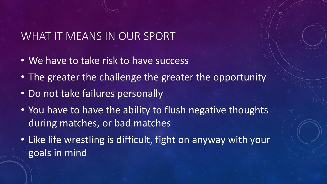#### WHAT IT MEANS IN OUR SPORT

- We have to take risk to have success
- The greater the challenge the greater the opportunity
- Do not take failures personally
- You have to have the ability to flush negative thoughts during matches, or bad matches
- Like life wrestling is difficult, fight on anyway with your goals in mind